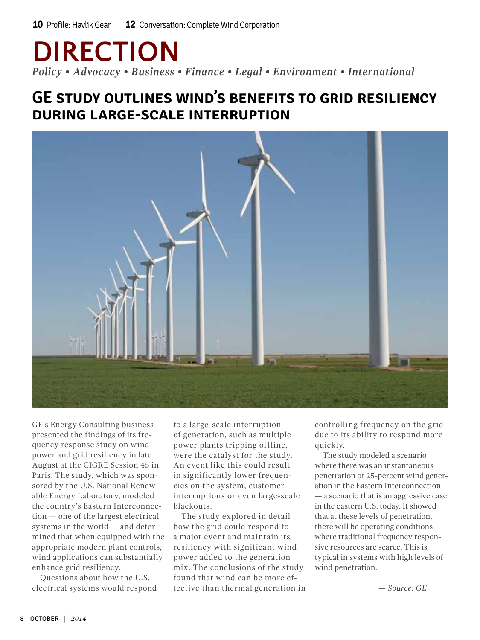# **DIRECTION**

*Policy • Advocacy • Business • Finance • Legal • Environment • International*

### **GE study outlines wind's benefits to grid resiliency during large-scale interruption**



GE's Energy Consulting business presented the findings of its frequency response study on wind power and grid resiliency in late August at the CIGRE Session 45 in Paris. The study, which was sponsored by the U.S. National Renewable Energy Laboratory, modeled the country's Eastern Interconnection — one of the largest electrical systems in the world — and determined that when equipped with the appropriate modern plant controls, wind applications can substantially enhance grid resiliency.

Questions about how the U.S. electrical systems would respond to a large-scale interruption of generation, such as multiple power plants tripping offline, were the catalyst for the study. An event like this could result in significantly lower frequencies on the system, customer interruptions or even large-scale blackouts.

The study explored in detail how the grid could respond to a major event and maintain its resiliency with significant wind power added to the generation mix. The conclusions of the study found that wind can be more effective than thermal generation in controlling frequency on the grid due to its ability to respond more quickly.

The study modeled a scenario where there was an instantaneous penetration of 25-percent wind generation in the Eastern Interconnection — a scenario that is an aggressive case in the eastern U.S. today. It showed that at these levels of penetration, there will be operating conditions where traditional frequency responsive resources are scarce. This is typical in systems with high levels of wind penetration.

*— Source: GE*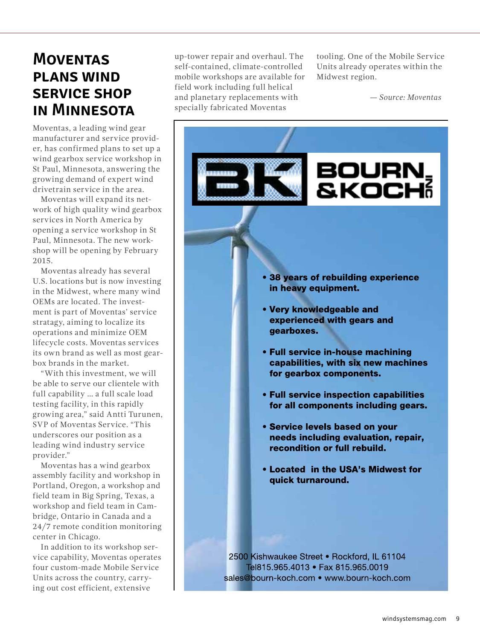### **Moventas plans wind service shop in Minnesota**

Moventas, a leading wind gear manufacturer and service provider, has confirmed plans to set up a wind gearbox service workshop in St Paul, Minnesota, answering the growing demand of expert wind drivetrain service in the area.

Moventas will expand its network of high quality wind gearbox services in North America by opening a service workshop in St Paul, Minnesota. The new workshop will be opening by February 2015.

Moventas already has several U.S. locations but is now investing in the Midwest, where many wind OEMs are located. The investment is part of Moventas' service stratagy, aiming to localize its operations and minimize OEM lifecycle costs. Moventas services its own brand as well as most gearbox brands in the market.

"With this investment, we will be able to serve our clientele with full capability … a full scale load testing facility, in this rapidly growing area," said Antti Turunen, SVP of Moventas Service. "This underscores our position as a leading wind industry service provider."

Moventas has a wind gearbox assembly facility and workshop in Portland, Oregon, a workshop and field team in Big Spring, Texas, a workshop and field team in Cambridge, Ontario in Canada and a 24/7 remote condition monitoring center in Chicago.

In addition to its workshop service capability, Moventas operates four custom-made Mobile Service Units across the country, carrying out cost efficient, extensive

up-tower repair and overhaul. The self-contained, climate-controlled mobile workshops are available for field work including full helical and planetary replacements with specially fabricated Moventas

tooling. One of the Mobile Service Units already operates within the Midwest region.

 *— Source: Moventas*

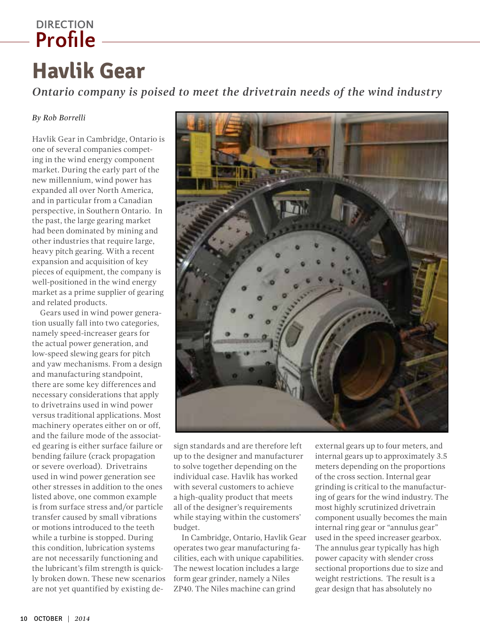## <span id="page-2-0"></span>**Profile DIRECTION**

## **Havlik Gear**

*Ontario company is poised to meet the drivetrain needs of the wind industry*

#### *By Rob Borrelli*

Havlik Gear in Cambridge, Ontario is one of several companies competing in the wind energy component market. During the early part of the new millennium, wind power has expanded all over North America, and in particular from a Canadian perspective, in Southern Ontario. In the past, the large gearing market had been dominated by mining and other industries that require large, heavy pitch gearing. With a recent expansion and acquisition of key pieces of equipment, the company is well-positioned in the wind energy market as a prime supplier of gearing and related products.

Gears used in wind power generation usually fall into two categories, namely speed-increaser gears for the actual power generation, and low-speed slewing gears for pitch and yaw mechanisms. From a design and manufacturing standpoint, there are some key differences and necessary considerations that apply to drivetrains used in wind power versus traditional applications. Most machinery operates either on or off, and the failure mode of the associated gearing is either surface failure or bending failure (crack propagation or severe overload). Drivetrains used in wind power generation see other stresses in addition to the ones listed above, one common example is from surface stress and/or particle transfer caused by small vibrations or motions introduced to the teeth while a turbine is stopped. During this condition, lubrication systems are not necessarily functioning and the lubricant's film strength is quickly broken down. These new scenarios are not yet quantified by existing de-



sign standards and are therefore left up to the designer and manufacturer to solve together depending on the individual case. Havlik has worked with several customers to achieve a high-quality product that meets all of the designer's requirements while staying within the customers' budget.

In Cambridge, Ontario, Havlik Gear operates two gear manufacturing facilities, each with unique capabilities. The newest location includes a large form gear grinder, namely a Niles ZP40. The Niles machine can grind

external gears up to four meters, and internal gears up to approximately 3.5 meters depending on the proportions of the cross section. Internal gear grinding is critical to the manufacturing of gears for the wind industry. The most highly scrutinized drivetrain component usually becomes the main internal ring gear or "annulus gear" used in the speed increaser gearbox. The annulus gear typically has high power capacity with slender cross sectional proportions due to size and weight restrictions. The result is a gear design that has absolutely no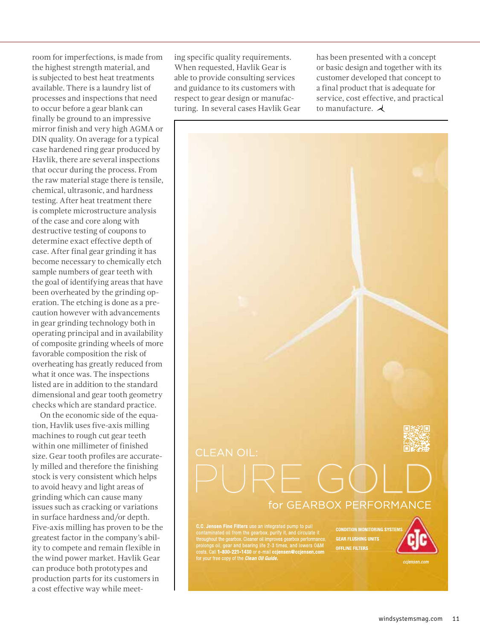room for imperfections, is made from the highest strength material, and is subjected to best heat treatments available. There is a laundry list of processes and inspections that need to occur before a gear blank can finally be ground to an impressive mirror finish and very high AGMA or DIN quality. On average for a typical case hardened ring gear produced by Havlik, there are several inspections that occur during the process. From the raw material stage there is tensile, chemical, ultrasonic, and hardness testing. After heat treatment there is complete microstructure analysis of the case and core along with destructive testing of coupons to determine exact effective depth of case. After final gear grinding it has become necessary to chemically etch sample numbers of gear teeth with the goal of identifying areas that have been overheated by the grinding operation. The etching is done as a precaution however with advancements in gear grinding technology both in operating principal and in availability of composite grinding wheels of more favorable composition the risk of overheating has greatly reduced from what it once was. The inspections listed are in addition to the standard dimensional and gear tooth geometry checks which are standard practice.

On the economic side of the equation, Havlik uses five-axis milling machines to rough cut gear teeth within one millimeter of finished size. Gear tooth profiles are accurately milled and therefore the finishing stock is very consistent which helps to avoid heavy and light areas of grinding which can cause many issues such as cracking or variations in surface hardness and/or depth. Five-axis milling has proven to be the greatest factor in the company's ability to compete and remain flexible in the wind power market. Havlik Gear can produce both prototypes and production parts for its customers in a cost effective way while meeting specific quality requirements. When requested, Havlik Gear is able to provide consulting services and guidance to its customers with respect to gear design or manufacturing. In several cases Havlik Gear has been presented with a concept or basic design and together with its customer developed that concept to a final product that is adequate for service, cost effective, and practical to manufacture.  $\lambda$ 



Co., Jesuien Fine Fruers use an intergrated pump to pump the contaminated of from the gearbox, purify it, and circulate it throughout the gearbox. Cleaner oil improves gearbox performance, prolongs oil, gear and bearing li

**CONDITION MONITORING SYSTEM GEAR FLUSHING UNITS OFFLINE FILTERS**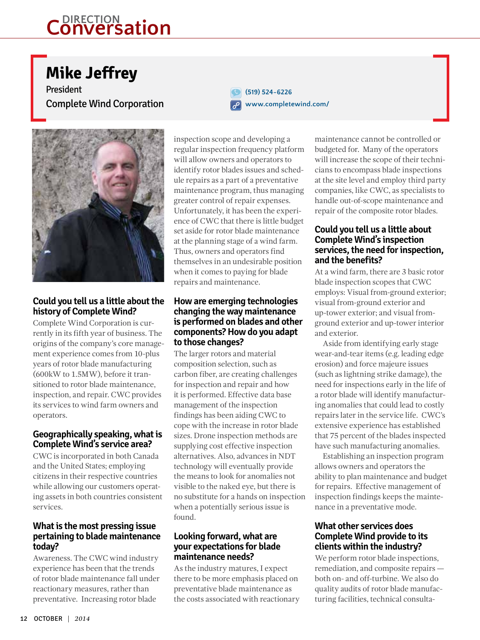## <span id="page-4-0"></span>**Conversation DIRECTION**

## **Mike Jeffrey**

President Complete Wind Corporation





**Could you tell us a little about the history of Complete Wind?**

Complete Wind Corporation is currently in its fifth year of business. The origins of the company's core management experience comes from 10-plus years of rotor blade manufacturing (600kW to 1.5MW), before it transitioned to rotor blade maintenance, inspection, and repair. CWC provides its services to wind farm owners and operators.

#### **Geographically speaking, what is Complete Wind's service area?**

CWC is incorporated in both Canada and the United States; employing citizens in their respective countries while allowing our customers operating assets in both countries consistent services.

#### **What is the most pressing issue pertaining to blade maintenance today?**

Awareness. The CWC wind industry experience has been that the trends of rotor blade maintenance fall under reactionary measures, rather than preventative. Increasing rotor blade

inspection scope and developing a regular inspection frequency platform will allow owners and operators to identify rotor blades issues and schedule repairs as a part of a preventative maintenance program, thus managing greater control of repair expenses. Unfortunately, it has been the experience of CWC that there is little budget set aside for rotor blade maintenance at the planning stage of a wind farm. Thus, owners and operators find themselves in an undesirable position when it comes to paying for blade repairs and maintenance.

#### **How are emerging technologies changing the way maintenance is performed on blades and other components? How do you adapt to those changes?**

The larger rotors and material composition selection, such as carbon fiber, are creating challenges for inspection and repair and how it is performed. Effective data base management of the inspection findings has been aiding CWC to cope with the increase in rotor blade sizes. Drone inspection methods are supplying cost effective inspection alternatives. Also, advances in NDT technology will eventually provide the means to look for anomalies not visible to the naked eye, but there is no substitute for a hands on inspection when a potentially serious issue is found.

#### **Looking forward, what are your expectations for blade maintenance needs?**

As the industry matures, I expect there to be more emphasis placed on preventative blade maintenance as the costs associated with reactionary maintenance cannot be controlled or budgeted for. Many of the operators will increase the scope of their technicians to encompass blade inspections at the site level and employ third party companies, like CWC, as specialists to handle out-of-scope maintenance and repair of the composite rotor blades.

#### **Could you tell us a little about Complete Wind's inspection services, the need for inspection, and the benefits?**

At a wind farm, there are 3 basic rotor blade inspection scopes that CWC employs: Visual from-ground exterior; visual from-ground exterior and up-tower exterior; and visual fromground exterior and up-tower interior and exterior.

Aside from identifying early stage wear-and-tear items (e.g. leading edge erosion) and force majeure issues (such as lightning strike damage), the need for inspections early in the life of a rotor blade will identify manufacturing anomalies that could lead to costly repairs later in the service life. CWC's extensive experience has established that 75 percent of the blades inspected have such manufacturing anomalies.

Establishing an inspection program allows owners and operators the ability to plan maintenance and budget for repairs. Effective management of inspection findings keeps the maintenance in a preventative mode.

#### **What other services does Complete Wind provide to its clients within the industry?**

We perform rotor blade inspections, remediation, and composite repairs both on- and off-turbine. We also do quality audits of rotor blade manufacturing facilities, technical consulta